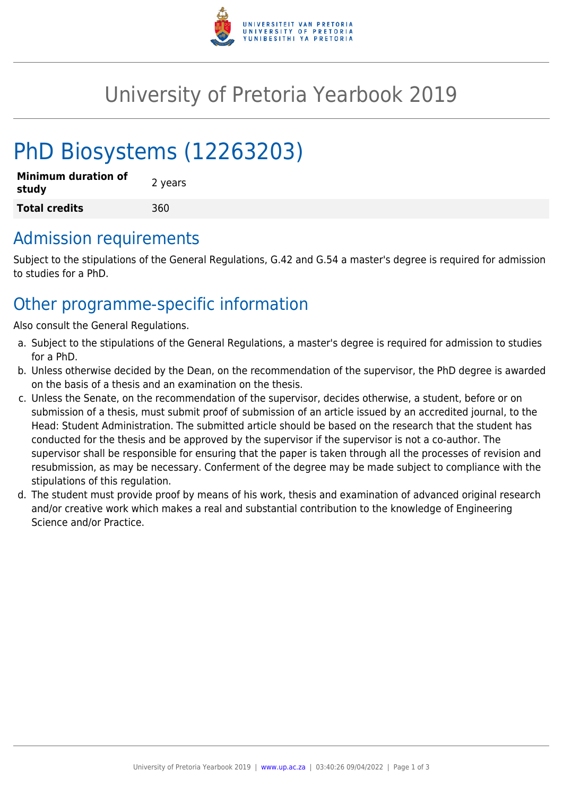

## University of Pretoria Yearbook 2019

# PhD Biosystems (12263203)

| <b>Minimum duration of</b><br>study | 2 years |
|-------------------------------------|---------|
| <b>Total credits</b>                | 360     |

#### Admission requirements

Subject to the stipulations of the General Regulations, G.42 and G.54 a master's degree is required for admission to studies for a PhD.

### Other programme-specific information

Also consult the General Regulations.

- a. Subject to the stipulations of the General Regulations, a master's degree is required for admission to studies for a PhD.
- b. Unless otherwise decided by the Dean, on the recommendation of the supervisor, the PhD degree is awarded on the basis of a thesis and an examination on the thesis.
- c. Unless the Senate, on the recommendation of the supervisor, decides otherwise, a student, before or on submission of a thesis, must submit proof of submission of an article issued by an accredited journal, to the Head: Student Administration. The submitted article should be based on the research that the student has conducted for the thesis and be approved by the supervisor if the supervisor is not a co-author. The supervisor shall be responsible for ensuring that the paper is taken through all the processes of revision and resubmission, as may be necessary. Conferment of the degree may be made subject to compliance with the stipulations of this regulation.
- d. The student must provide proof by means of his work, thesis and examination of advanced original research and/or creative work which makes a real and substantial contribution to the knowledge of Engineering Science and/or Practice.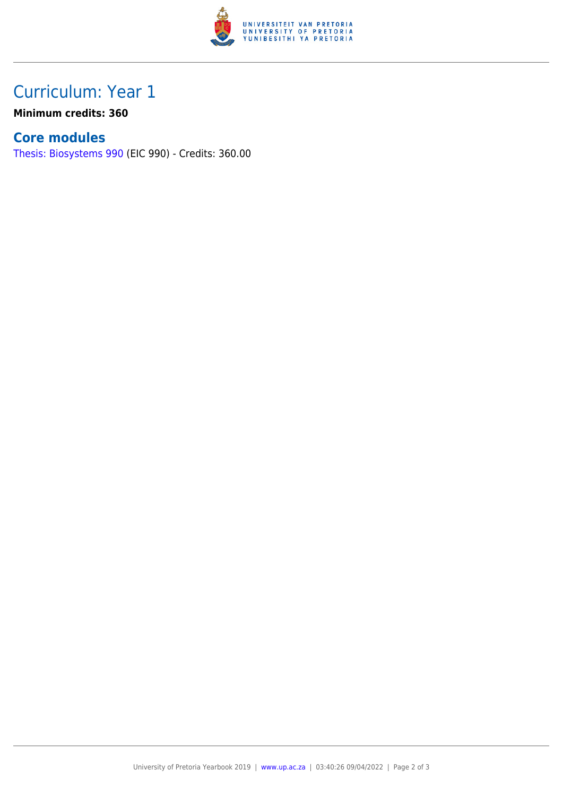

## Curriculum: Year 1

**Minimum credits: 360**

#### **Core modules**

[Thesis: Biosystems 990](https://www.up.ac.za/faculty-of-education/yearbooks/2019/modules/view/EIC 990) (EIC 990) - Credits: 360.00